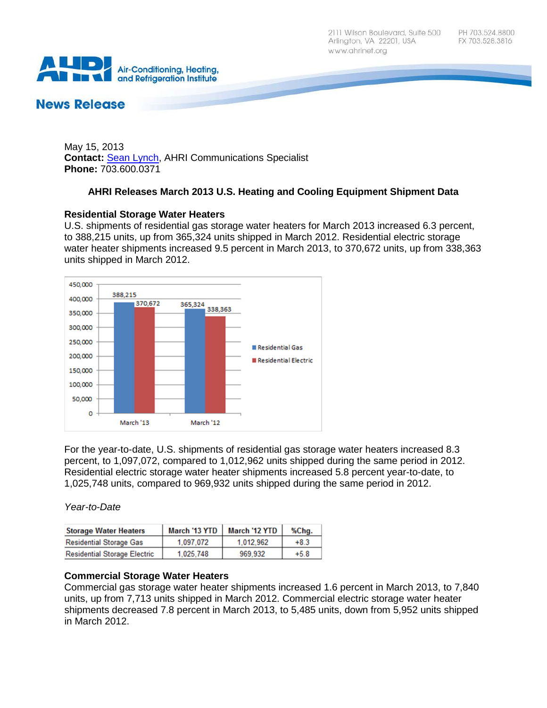

# **News Release**

May 15, 2013 **Contact:** [Sean Lynch,](mailto:slynch@ahrinet.org) AHRI Communications Specialist **Phone:** 703.600.0371

## **AHRI Releases March 2013 U.S. Heating and Cooling Equipment Shipment Data**

## **Residential Storage Water Heaters**

U.S. shipments of residential gas storage water heaters for March 2013 increased 6.3 percent, to 388,215 units, up from 365,324 units shipped in March 2012. Residential electric storage water heater shipments increased 9.5 percent in March 2013, to 370,672 units, up from 338,363 units shipped in March 2012.



For the year-to-date, U.S. shipments of residential gas storage water heaters increased 8.3 percent, to 1,097,072, compared to 1,012,962 units shipped during the same period in 2012. Residential electric storage water heater shipments increased 5.8 percent year-to-date, to 1,025,748 units, compared to 969,932 units shipped during the same period in 2012.

*Year-to-Date*

| <b>Storage Water Heaters</b>        | <b>March '13 YTD</b> | March '12 YTD | %Chg.  |
|-------------------------------------|----------------------|---------------|--------|
| <b>Residential Storage Gas</b>      | 1,097,072            | 1.012.962     | $+8.3$ |
| <b>Residential Storage Electric</b> | 1.025.748            | 969.932       | $+5.8$ |

## **Commercial Storage Water Heaters**

Commercial gas storage water heater shipments increased 1.6 percent in March 2013, to 7,840 units, up from 7,713 units shipped in March 2012. Commercial electric storage water heater shipments decreased 7.8 percent in March 2013, to 5,485 units, down from 5,952 units shipped in March 2012.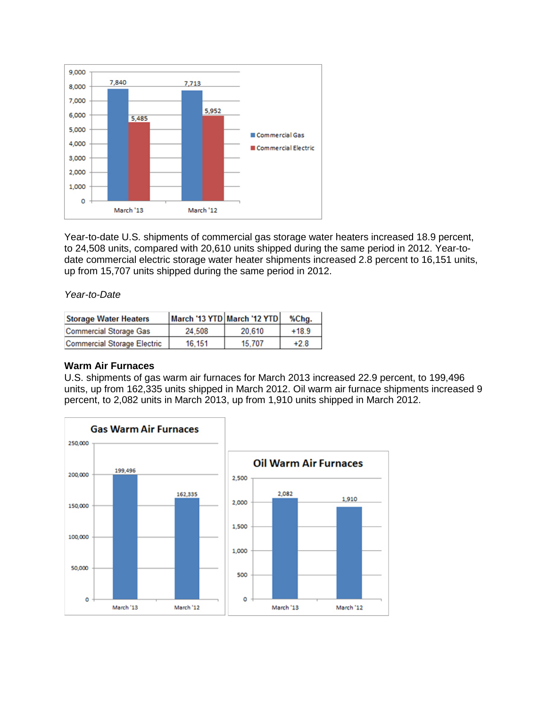

Year-to-date U.S. shipments of commercial gas storage water heaters increased 18.9 percent, to 24,508 units, compared with 20,610 units shipped during the same period in 2012. Year-todate commercial electric storage water heater shipments increased 2.8 percent to 16,151 units, up from 15,707 units shipped during the same period in 2012.

#### *Year-to-Date*

| <b>Storage Water Heaters</b>       | March '13 YTD March '12 YTD |        | %Chg.   |
|------------------------------------|-----------------------------|--------|---------|
| <b>Commercial Storage Gas</b>      | 24.508                      | 20.610 | $+18.9$ |
| <b>Commercial Storage Electric</b> | 16.151                      | 15.707 | $+2.8$  |

#### **Warm Air Furnaces**

U.S. shipments of gas warm air furnaces for March 2013 increased 22.9 percent, to 199,496 units, up from 162,335 units shipped in March 2012. Oil warm air furnace shipments increased 9 percent, to 2,082 units in March 2013, up from 1,910 units shipped in March 2012.

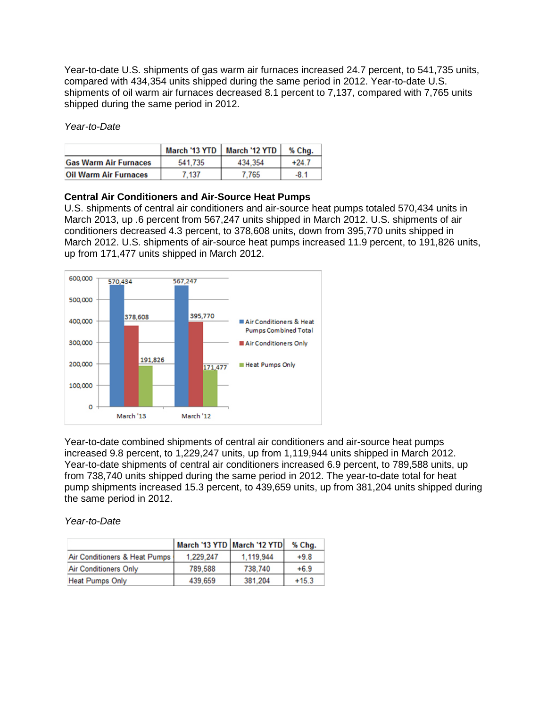Year-to-date U.S. shipments of gas warm air furnaces increased 24.7 percent, to 541,735 units, compared with 434,354 units shipped during the same period in 2012. Year-to-date U.S. shipments of oil warm air furnaces decreased 8.1 percent to 7,137, compared with 7,765 units shipped during the same period in 2012.

*Year-to-Date*

|                              |         | March '13 YTD   March '12 YTD | % Chg. |
|------------------------------|---------|-------------------------------|--------|
| <b>Gas Warm Air Furnaces</b> | 541.735 | 434.354                       | +24.7  |
| <b>Oil Warm Air Furnaces</b> | .137    | 765                           | $-8.1$ |

#### **Central Air Conditioners and Air-Source Heat Pumps**

U.S. shipments of central air conditioners and air-source heat pumps totaled 570,434 units in March 2013, up .6 percent from 567,247 units shipped in March 2012. U.S. shipments of air conditioners decreased 4.3 percent, to 378,608 units, down from 395,770 units shipped in March 2012. U.S. shipments of air-source heat pumps increased 11.9 percent, to 191,826 units, up from 171,477 units shipped in March 2012.



Year-to-date combined shipments of central air conditioners and air-source heat pumps increased 9.8 percent, to 1,229,247 units, up from 1,119,944 units shipped in March 2012. Year-to-date shipments of central air conditioners increased 6.9 percent, to 789,588 units, up from 738,740 units shipped during the same period in 2012. The year-to-date total for heat pump shipments increased 15.3 percent, to 439,659 units, up from 381,204 units shipped during the same period in 2012.

*Year-to-Date*

|                               | March '13 YTD March '12 YTD |           | % Cha.  |
|-------------------------------|-----------------------------|-----------|---------|
| Air Conditioners & Heat Pumps | 1.229.247                   | 1.119.944 | $+9.8$  |
| <b>Air Conditioners Only</b>  | 789.588                     | 738,740   | $+6.9$  |
| <b>Heat Pumps Only</b>        | 439,659                     | 381.204   | $+15.3$ |